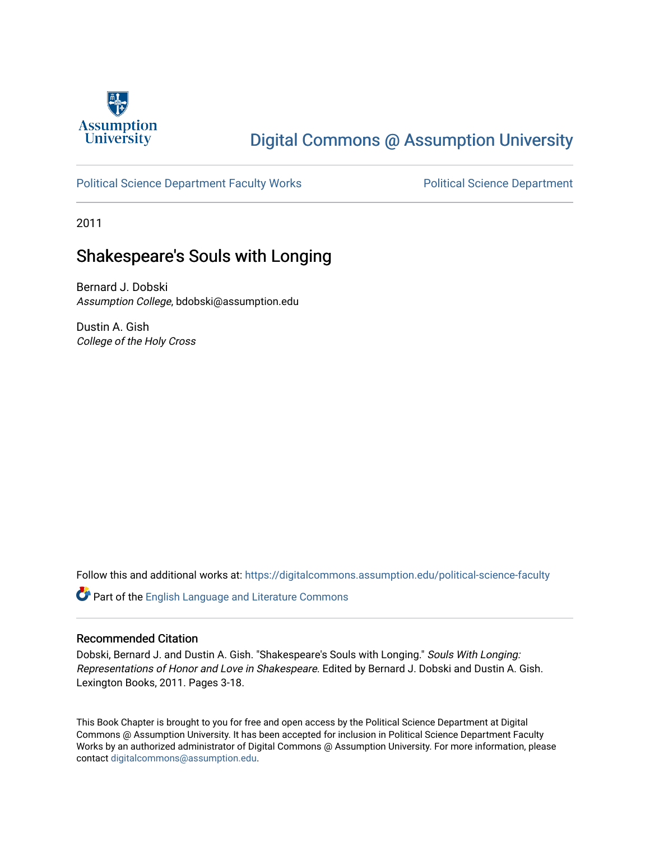

# [Digital Commons @ Assumption University](https://digitalcommons.assumption.edu/)

#### [Political Science Department Faculty Works](https://digitalcommons.assumption.edu/political-science-faculty) **Political Science Department**

2011

# Shakespeare's Souls with Longing

Bernard J. Dobski Assumption College, bdobski@assumption.edu

Dustin A. Gish College of the Holy Cross

Follow this and additional works at: [https://digitalcommons.assumption.edu/political-science-faculty](https://digitalcommons.assumption.edu/political-science-faculty?utm_source=digitalcommons.assumption.edu%2Fpolitical-science-faculty%2F63&utm_medium=PDF&utm_campaign=PDFCoverPages)

Part of the [English Language and Literature Commons](http://network.bepress.com/hgg/discipline/455?utm_source=digitalcommons.assumption.edu%2Fpolitical-science-faculty%2F63&utm_medium=PDF&utm_campaign=PDFCoverPages)

#### Recommended Citation

Dobski, Bernard J. and Dustin A. Gish. "Shakespeare's Souls with Longing." Souls With Longing: Representations of Honor and Love in Shakespeare. Edited by Bernard J. Dobski and Dustin A. Gish. Lexington Books, 2011. Pages 3-18.

This Book Chapter is brought to you for free and open access by the Political Science Department at Digital Commons @ Assumption University. It has been accepted for inclusion in Political Science Department Faculty Works by an authorized administrator of Digital Commons @ Assumption University. For more information, please contact [digitalcommons@assumption.edu.](mailto:digitalcommons@assumption.edu)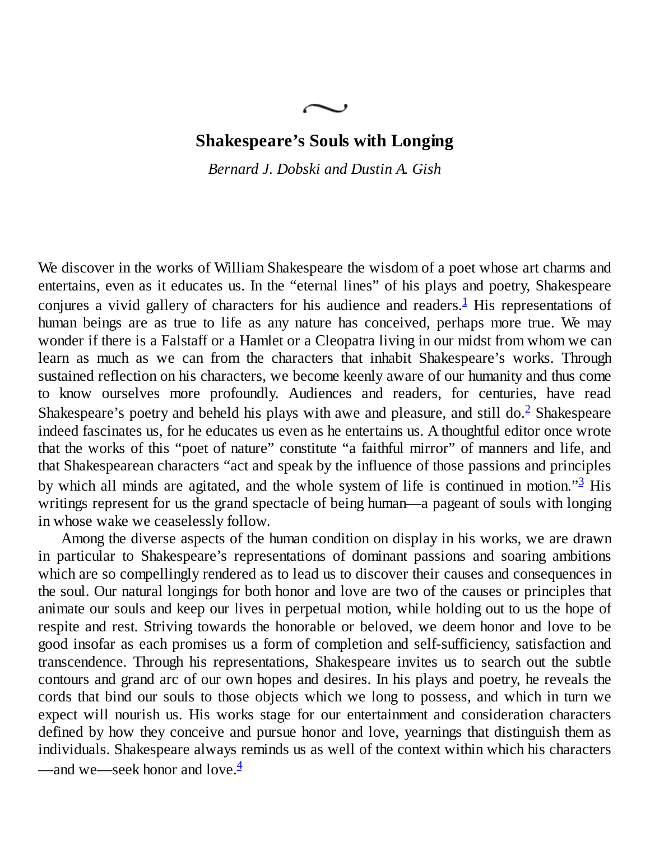$\widetilde{\phantom{m}}$ 

## **Shakespeare's Souls with Longing**

*Bernard J. Dobski and Dustin A. Gish*

We discover in the works of William Shakespeare the wisdom of a poet whose art charms and entertains, even as it educates us. In the "eternal lines" of his plays and poetry, Shakespeare conjures a vivid gallery of characters for his audience and readers. $<sup>1</sup>$  $<sup>1</sup>$  $<sup>1</sup>$  His representations of</sup> human beings are as true to life as any nature has conceived, perhaps more true. We may wonder if there is a Falstaff or a Hamlet or a Cleopatra living in our midst from whom we can learn as much as we can from the characters that inhabit Shakespeare's works. Through sustained reflection on his characters, we become keenly aware of our humanity and thus come to know ourselves more profoundly. Audiences and readers, for centuries, have read Shakespeare's poetry and beheld his plays with awe and pleasure, and still do.<sup>[2](#page-10-1)</sup> Shakespeare indeed fascinates us, for he educates us even as he entertains us. A thoughtful editor once wrote that the works of this "poet of nature" constitute "a faithful mirror" of manners and life, and that Shakespearean characters "act and speak by the influence of those passions and principles by which all minds are agitated, and the whole system of life is continued in motion." $^3$  $^3$  His writings represent for us the grand spectacle of being human—a pageant of souls with longing in whose wake we ceaselessly follow.

Among the diverse aspects of the human condition on display in his works, we are drawn in particular to Shakespeare's representations of dominant passions and soaring ambitions which are so compellingly rendered as to lead us to discover their causes and consequences in the soul. Our natural longings for both honor and love are two of the causes or principles that animate our souls and keep our lives in perpetual motion, while holding out to us the hope of respite and rest. Striving towards the honorable or beloved, we deem honor and love to be good insofar as each promises us a form of completion and self-sufficiency, satisfaction and transcendence. Through his representations, Shakespeare invites us to search out the subtle contours and grand arc of our own hopes and desires. In his plays and poetry, he reveals the cords that bind our souls to those objects which we long to possess, and which in turn we expect will nourish us. His works stage for our entertainment and consideration characters defined by how they conceive and pursue honor and love, yearnings that distinguish them as individuals. Shakespeare always reminds us as well of the context within which his characters —and we—seek honor and love. $\frac{4}{3}$  $\frac{4}{3}$  $\frac{4}{3}$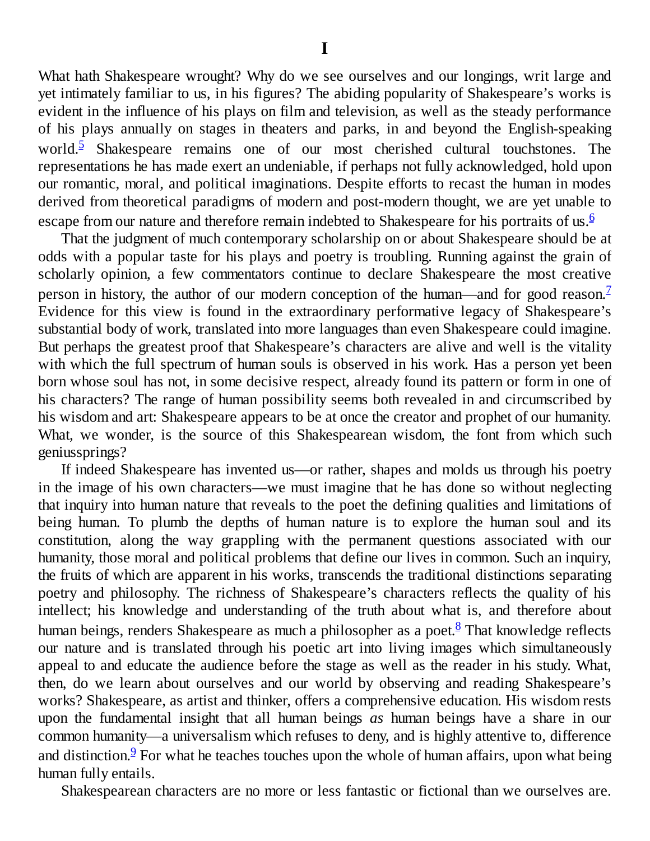yet intimately familiar to us, in his figures? The abiding popularity of Shakespeare's works is evident in the influence of his plays on film and television, as well as the steady performance of his plays annually on stages in theaters and parks, in and beyond the English-speaking world.<sup>[5](#page-10-4)</sup> Shakespeare remains one of our most cherished cultural touchstones. The representations he has made exert an undeniable, if perhaps not fully acknowledged, hold upon our romantic, moral, and political imaginations. Despite efforts to recast the human in modes derived from theoretical paradigms of modern and post-modern thought, we are yet unable to escape from our nature and therefore remain indebted to Shakespeare for his portraits of us.<sup>[6](#page-10-5)</sup>

That the judgment of much contemporary scholarship on or about Shakespeare should be at odds with a popular taste for his plays and poetry is troubling. Running against the grain of scholarly opinion, a few commentators continue to declare Shakespeare the most creative person in history, the author of our modern conception of the human—and for good reason.<sup>[7](#page-11-0)</sup> Evidence for this view is found in the extraordinary performative legacy of Shakespeare's substantial body of work, translated into more languages than even Shakespeare could imagine. But perhaps the greatest proof that Shakespeare's characters are alive and well is the vitality with which the full spectrum of human souls is observed in his work. Has a person yet been born whose soul has not, in some decisive respect, already found its pattern or form in one of his characters? The range of human possibility seems both revealed in and circumscribed by his wisdom and art: Shakespeare appears to be at once the creator and prophet of our humanity. What, we wonder, is the source of this Shakespearean wisdom, the font from which such geniussprings?

If indeed Shakespeare has invented us—or rather, shapes and molds us through his poetry in the image of his own characters—we must imagine that he has done so without neglecting that inquiry into human nature that reveals to the poet the defining qualities and limitations of being human. To plumb the depths of human nature is to explore the human soul and its constitution, along the way grappling with the permanent questions associated with our humanity, those moral and political problems that define our lives in common. Such an inquiry, the fruits of which are apparent in his works, transcends the traditional distinctions separating poetry and philosophy. The richness of Shakespeare's characters reflects the quality of his intellect; his knowledge and understanding of the truth about what is, and therefore about human beings, renders Shakespeare as much a philosopher as a poet.<sup>[8](#page-11-1)</sup> That knowledge reflects our nature and is translated through his poetic art into living images which simultaneously appeal to and educate the audience before the stage as well as the reader in his study. What, then, do we learn about ourselves and our world by observing and reading Shakespeare's works? Shakespeare, as artist and thinker, offers a comprehensive education. His wisdom rests upon the fundamental insight that all human beings *as* human beings have a share in our common humanity—a universalism which refuses to deny, and is highly attentive to, difference and distinction.<sup>[9](#page-11-2)</sup> For what he teaches touches upon the whole of human affairs, upon what being human fully entails.

Shakespearean characters are no more or less fantastic or fictional than we ourselves are.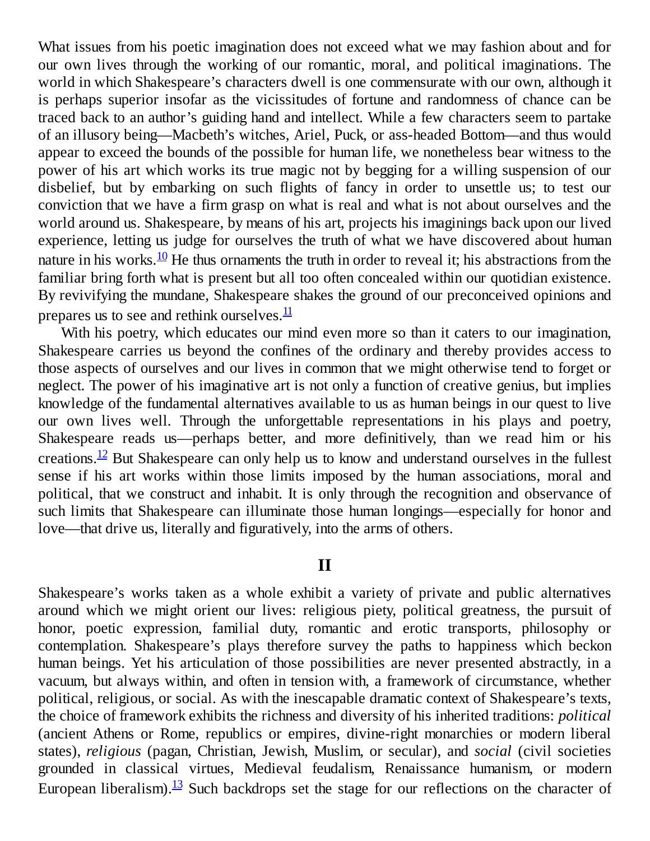What issues from his poetic imagination does not exceed what we may fashion about and for our own lives through the working of our romantic, moral, and political imaginations. The world in which Shakespeare's characters dwell is one commensurate with our own, although it is perhaps superior insofar as the vicissitudes of fortune and randomness of chance can be traced back to an author's guiding hand and intellect. While a few characters seem to partake of an illusory being—Macbeth's witches, Ariel, Puck, or ass-headed Bottom—and thus would appear to exceed the bounds of the possible for human life, we nonetheless bear witness to the power of his art which works its true magic not by begging for a willing suspension of our disbelief, but by embarking on such flights of fancy in order to unsettle us; to test our conviction that we have a firm grasp on what is real and what is not about ourselves and the world around us. Shakespeare, by means of his art, projects his imaginings back upon our lived experience, letting us judge for ourselves the truth of what we have discovered about human nature in his works.<sup>[10](#page-12-0)</sup> He thus ornaments the truth in order to reveal it; his abstractions from the familiar bring forth what is present but all too often concealed within our quotidian existence. By revivifying the mundane, Shakespeare shakes the ground of our preconceived opinions and prepares us to see and rethink ourselves. $\frac{11}{1}$  $\frac{11}{1}$  $\frac{11}{1}$ 

With his poetry, which educates our mind even more so than it caters to our imagination, Shakespeare carries us beyond the confines of the ordinary and thereby provides access to those aspects of ourselves and our lives in common that we might otherwise tend to forget or neglect. The power of his imaginative art is not only a function of creative genius, but implies knowledge of the fundamental alternatives available to us as human beings in our quest to live our own lives well. Through the unforgettable representations in his plays and poetry, Shakespeare reads us—perhaps better, and more definitively, than we read him or his creations.<sup>[12](#page-12-2)</sup> But Shakespeare can only help us to know and understand ourselves in the fullest sense if his art works within those limits imposed by the human associations, moral and political, that we construct and inhabit. It is only through the recognition and observance of such limits that Shakespeare can illuminate those human longings—especially for honor and love—that drive us, literally and figuratively, into the arms of others.

#### **II**

Shakespeare's works taken as a whole exhibit a variety of private and public alternatives around which we might orient our lives: religious piety, political greatness, the pursuit of honor, poetic expression, familial duty, romantic and erotic transports, philosophy or contemplation. Shakespeare's plays therefore survey the paths to happiness which beckon human beings. Yet his articulation of those possibilities are never presented abstractly, in a vacuum, but always within, and often in tension with, a framework of circumstance, whether political, religious, or social. As with the inescapable dramatic context of Shakespeare's texts, the choice of framework exhibits the richness and diversity of his inherited traditions: *political* (ancient Athens or Rome, republics or empires, divine-right monarchies or modern liberal states), *religious* (pagan, Christian, Jewish, Muslim, or secular), and *social* (civil societies grounded in classical virtues, Medieval feudalism, Renaissance humanism, or modern European liberalism).<sup>[13](#page-12-3)</sup> Such backdrops set the stage for our reflections on the character of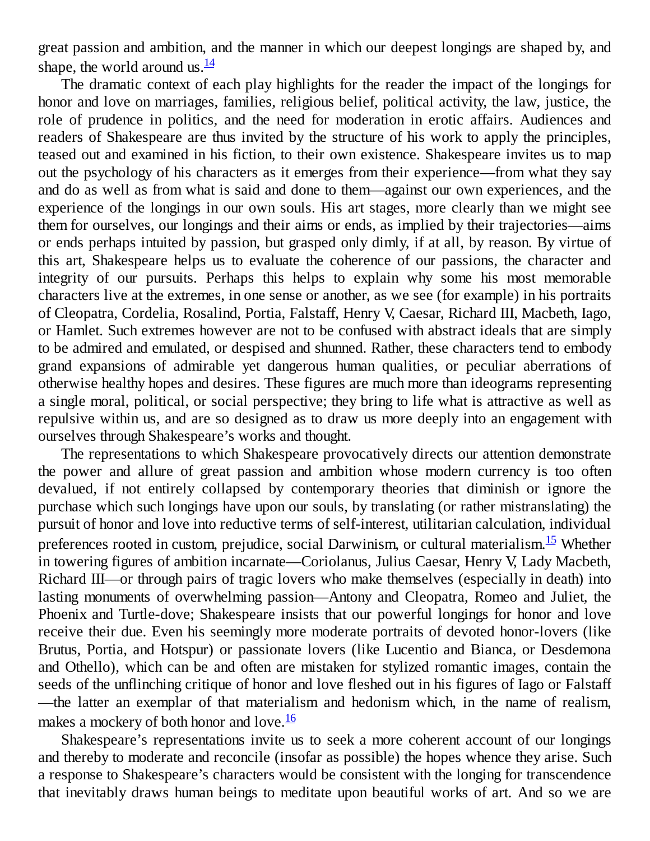great passion and ambition, and the manner in which our deepest longings are shaped by, and shape, the world around us. $\frac{14}{1}$  $\frac{14}{1}$  $\frac{14}{1}$ 

The dramatic context of each play highlights for the reader the impact of the longings for honor and love on marriages, families, religious belief, political activity, the law, justice, the role of prudence in politics, and the need for moderation in erotic affairs. Audiences and readers of Shakespeare are thus invited by the structure of his work to apply the principles, teased out and examined in his fiction, to their own existence. Shakespeare invites us to map out the psychology of his characters as it emerges from their experience—from what they say and do as well as from what is said and done to them—against our own experiences, and the experience of the longings in our own souls. His art stages, more clearly than we might see them for ourselves, our longings and their aims or ends, as implied by their trajectories—aims or ends perhaps intuited by passion, but grasped only dimly, if at all, by reason. By virtue of this art, Shakespeare helps us to evaluate the coherence of our passions, the character and integrity of our pursuits. Perhaps this helps to explain why some his most memorable characters live at the extremes, in one sense or another, as we see (for example) in his portraits of Cleopatra, Cordelia, Rosalind, Portia, Falstaff, Henry V, Caesar, Richard III, Macbeth, Iago, or Hamlet. Such extremes however are not to be confused with abstract ideals that are simply to be admired and emulated, or despised and shunned. Rather, these characters tend to embody grand expansions of admirable yet dangerous human qualities, or peculiar aberrations of otherwise healthy hopes and desires. These figures are much more than ideograms representing a single moral, political, or social perspective; they bring to life what is attractive as well as repulsive within us, and are so designed as to draw us more deeply into an engagement with ourselves through Shakespeare's works and thought.

The representations to which Shakespeare provocatively directs our attention demonstrate the power and allure of great passion and ambition whose modern currency is too often devalued, if not entirely collapsed by contemporary theories that diminish or ignore the purchase which such longings have upon our souls, by translating (or rather mistranslating) the pursuit of honor and love into reductive terms of self-interest, utilitarian calculation, individual preferences rooted in custom, prejudice, social Darwinism, or cultural materialism.<sup>[15](#page-12-5)</sup> Whether in towering figures of ambition incarnate—Coriolanus, Julius Caesar, Henry V, Lady Macbeth, Richard III—or through pairs of tragic lovers who make themselves (especially in death) into lasting monuments of overwhelming passion—Antony and Cleopatra, Romeo and Juliet, the Phoenix and Turtle-dove; Shakespeare insists that our powerful longings for honor and love receive their due. Even his seemingly more moderate portraits of devoted honor-lovers (like Brutus, Portia, and Hotspur) or passionate lovers (like Lucentio and Bianca, or Desdemona and Othello), which can be and often are mistaken for stylized romantic images, contain the seeds of the unflinching critique of honor and love fleshed out in his figures of Iago or Falstaff —the latter an exemplar of that materialism and hedonism which, in the name of realism, makes a mockery of both honor and love. $\frac{16}{10}$  $\frac{16}{10}$  $\frac{16}{10}$ 

Shakespeare's representations invite us to seek a more coherent account of our longings and thereby to moderate and reconcile (insofar as possible) the hopes whence they arise. Such a response to Shakespeare's characters would be consistent with the longing for transcendence that inevitably draws human beings to meditate upon beautiful works of art. And so we are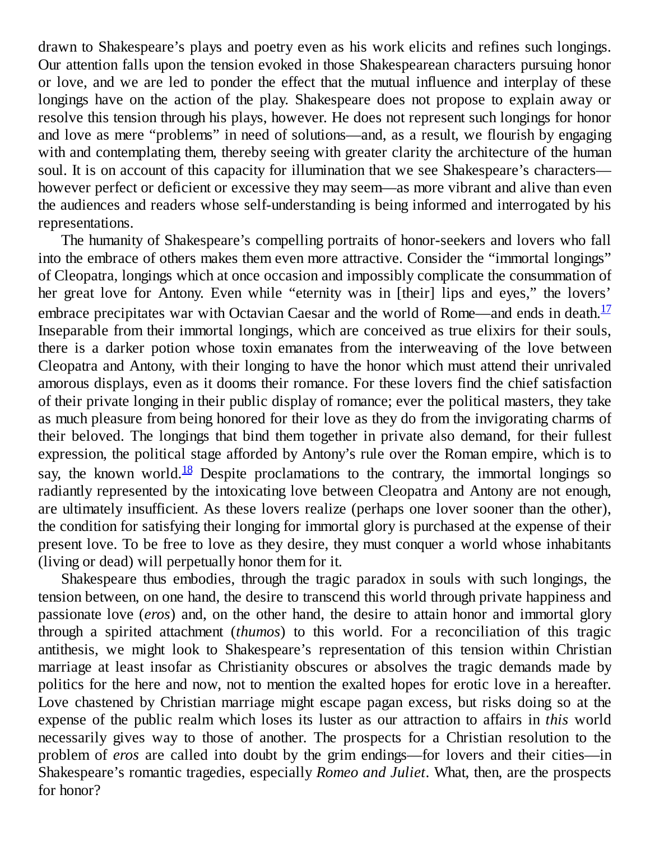drawn to Shakespeare's plays and poetry even as his work elicits and refines such longings. Our attention falls upon the tension evoked in those Shakespearean characters pursuing honor or love, and we are led to ponder the effect that the mutual influence and interplay of these longings have on the action of the play. Shakespeare does not propose to explain away or resolve this tension through his plays, however. He does not represent such longings for honor and love as mere "problems" in need of solutions—and, as a result, we flourish by engaging with and contemplating them, thereby seeing with greater clarity the architecture of the human soul. It is on account of this capacity for illumination that we see Shakespeare's characters however perfect or deficient or excessive they may seem—as more vibrant and alive than even the audiences and readers whose self-understanding is being informed and interrogated by his representations.

The humanity of Shakespeare's compelling portraits of honor-seekers and lovers who fall into the embrace of others makes them even more attractive. Consider the "immortal longings" of Cleopatra, longings which at once occasion and impossibly complicate the consummation of her great love for Antony. Even while "eternity was in [their] lips and eyes," the lovers' embrace precipitates war with Octavian Caesar and the world of Rome—and ends in death. $\frac{17}{12}$  $\frac{17}{12}$  $\frac{17}{12}$ Inseparable from their immortal longings, which are conceived as true elixirs for their souls, there is a darker potion whose toxin emanates from the interweaving of the love between Cleopatra and Antony, with their longing to have the honor which must attend their unrivaled amorous displays, even as it dooms their romance. For these lovers find the chief satisfaction of their private longing in their public display of romance; ever the political masters, they take as much pleasure from being honored for their love as they do from the invigorating charms of their beloved. The longings that bind them together in private also demand, for their fullest expression, the political stage afforded by Antony's rule over the Roman empire, which is to say, the known world.<sup>[18](#page-13-0)</sup> Despite proclamations to the contrary, the immortal longings so radiantly represented by the intoxicating love between Cleopatra and Antony are not enough, are ultimately insufficient. As these lovers realize (perhaps one lover sooner than the other), the condition for satisfying their longing for immortal glory is purchased at the expense of their present love. To be free to love as they desire, they must conquer a world whose inhabitants (living or dead) will perpetually honor them for it.

Shakespeare thus embodies, through the tragic paradox in souls with such longings, the tension between, on one hand, the desire to transcend this world through private happiness and passionate love *(eros)* and, on the other hand, the desire to attain honor and immortal glory through a spirited attachment *(thumos)* to this world. For a reconciliation of this tragic antithesis, we might look to Shakespeare's representation of this tension within Christian marriage at least insofar as Christianity obscures or absolves the tragic demands made by politics for the here and now, not to mention the exalted hopes for erotic love in a hereafter. Love chastened by Christian marriage might escape pagan excess, but risks doing so at the expense of the public realm which loses its luster as our attraction to affairs in *this* world necessarily gives way to those of another. The prospects for a Christian resolution to the problem of *eros* are called into doubt by the grim endings—for lovers and their cities—in Shakespeare's romantic tragedies, especially *Romeo and Juliet*. What, then, are the prospects for honor?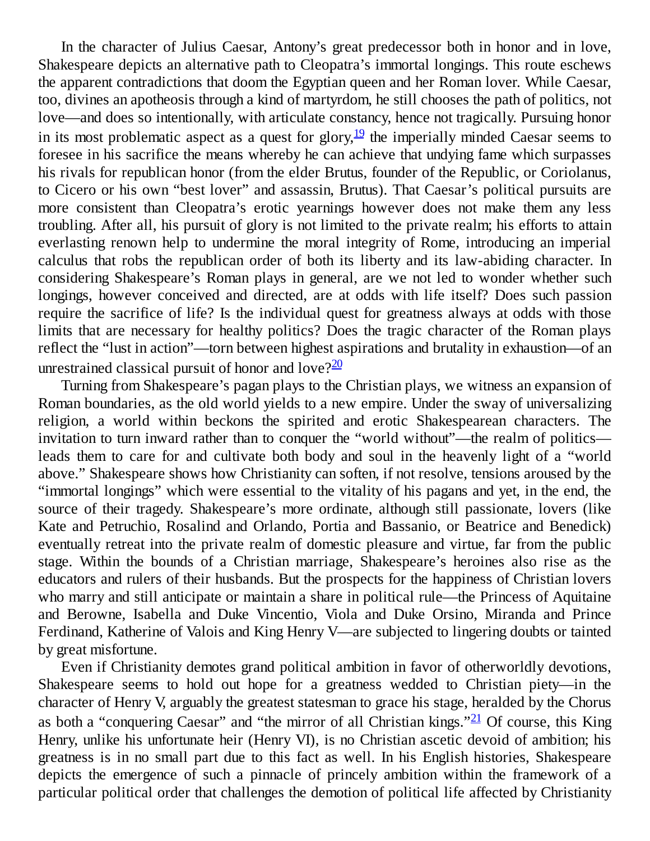In the character of Julius Caesar, Antony's great predecessor both in honor and in love, Shakespeare depicts an alternative path to Cleopatra's immortal longings. This route eschews the apparent contradictions that doom the Egyptian queen and her Roman lover. While Caesar, too, divines an apotheosis through a kind of martyrdom, he still chooses the path of politics, not love—and does so intentionally, with articulate constancy, hence not tragically. Pursuing honor in its most problematic aspect as a quest for glory, $\frac{19}{12}$  $\frac{19}{12}$  $\frac{19}{12}$  the imperially minded Caesar seems to foresee in his sacrifice the means whereby he can achieve that undying fame which surpasses his rivals for republican honor (from the elder Brutus, founder of the Republic, or Coriolanus, to Cicero or his own "best lover" and assassin, Brutus). That Caesar's political pursuits are more consistent than Cleopatra's erotic yearnings however does not make them any less troubling. After all, his pursuit of glory is not limited to the private realm; his efforts to attain everlasting renown help to undermine the moral integrity of Rome, introducing an imperial calculus that robs the republican order of both its liberty and its law-abiding character. In considering Shakespeare's Roman plays in general, are we not led to wonder whether such longings, however conceived and directed, are at odds with life itself? Does such passion require the sacrifice of life? Is the individual quest for greatness always at odds with those limits that are necessary for healthy politics? Does the tragic character of the Roman plays reflect the "lust in action"—torn between highest aspirations and brutality in exhaustion—of an unrestrained classical pursuit of honor and love? $20$ 

Turning from Shakespeare's pagan plays to the Christian plays, we witness an expansion of Roman boundaries, as the old world yields to a new empire. Under the sway of universalizing religion, a world within beckons the spirited and erotic Shakespearean characters. The invitation to turn inward rather than to conquer the "world without"—the realm of politics leads them to care for and cultivate both body and soul in the heavenly light of a "world above." Shakespeare shows how Christianity can soften, if not resolve, tensions aroused by the "immortal longings" which were essential to the vitality of his pagans and yet, in the end, the source of their tragedy. Shakespeare's more ordinate, although still passionate, lovers (like Kate and Petruchio, Rosalind and Orlando, Portia and Bassanio, or Beatrice and Benedick) eventually retreat into the private realm of domestic pleasure and virtue, far from the public stage. Within the bounds of a Christian marriage, Shakespeare's heroines also rise as the educators and rulers of their husbands. But the prospects for the happiness of Christian lovers who marry and still anticipate or maintain a share in political rule—the Princess of Aquitaine and Berowne, Isabella and Duke Vincentio, Viola and Duke Orsino, Miranda and Prince Ferdinand, Katherine of Valois and King Henry V—are subjected to lingering doubts or tainted by great misfortune.

Even if Christianity demotes grand political ambition in favor of otherworldly devotions, Shakespeare seems to hold out hope for a greatness wedded to Christian piety—in the character of Henry V, arguably the greatest statesman to grace his stage, heralded by the Chorus as both a "conquering Caesar" and "the mirror of all Christian kings." $\frac{21}{21}$  $\frac{21}{21}$  $\frac{21}{21}$  Of course, this King Henry, unlike his unfortunate heir (Henry VI), is no Christian ascetic devoid of ambition; his greatness is in no small part due to this fact as well. In his English histories, Shakespeare depicts the emergence of such a pinnacle of princely ambition within the framework of a particular political order that challenges the demotion of political life affected by Christianity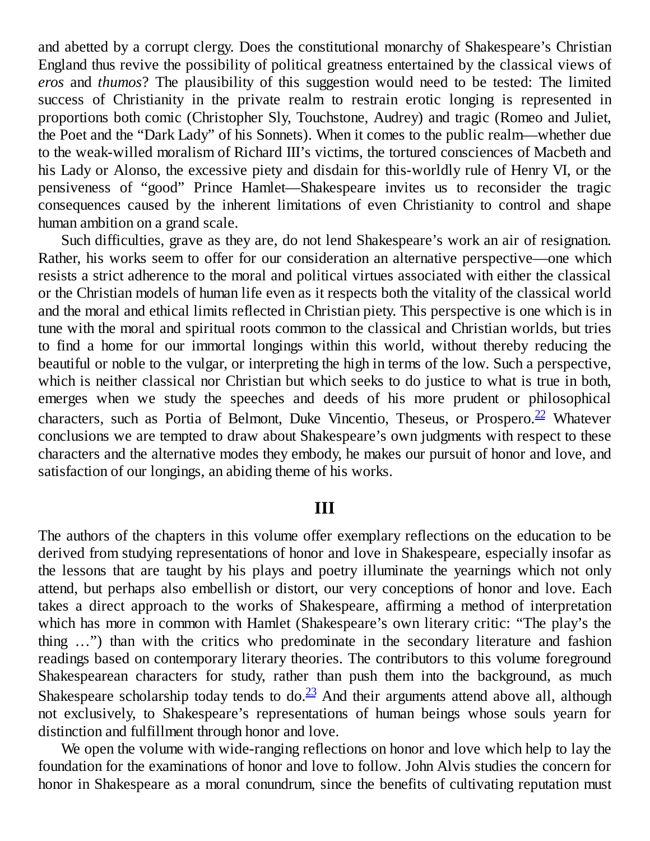and abetted by a corrupt clergy. Does the constitutional monarchy of Shakespeare's Christian England thus revive the possibility of political greatness entertained by the classical views of *eros* and *thumos*? The plausibility of this suggestion would need to be tested: The limited success of Christianity in the private realm to restrain erotic longing is represented in proportions both comic (Christopher Sly, Touchstone, Audrey) and tragic (Romeo and Juliet, the Poet and the "Dark Lady" of his Sonnets). When it comes to the public realm—whether due to the weak-willed moralism of Richard III's victims, the tortured consciences of Macbeth and his Lady or Alonso, the excessive piety and disdain for this-worldly rule of Henry VI, or the pensiveness of "good" Prince Hamlet—Shakespeare invites us to reconsider the tragic consequences caused by the inherent limitations of even Christianity to control and shape human ambition on a grand scale.

Such difficulties, grave as they are, do not lend Shakespeare's work an air of resignation. Rather, his works seem to offer for our consideration an alternative perspective—one which resists a strict adherence to the moral and political virtues associated with either the classical or the Christian models of human life even as it respects both the vitality of the classical world and the moral and ethical limits reflected in Christian piety. This perspective is one which is in tune with the moral and spiritual roots common to the classical and Christian worlds, but tries to find a home for our immortal longings within this world, without thereby reducing the beautiful or noble to the vulgar, or interpreting the high in terms of the low. Such a perspective, which is neither classical nor Christian but which seeks to do justice to what is true in both, emerges when we study the speeches and deeds of his more prudent or philosophical characters, such as Portia of Belmont, Duke Vincentio, Theseus, or Prospero.<sup>[22](#page-13-4)</sup> Whatever conclusions we are tempted to draw about Shakespeare's own judgments with respect to these characters and the alternative modes they embody, he makes our pursuit of honor and love, and satisfaction of our longings, an abiding theme of his works.

### **III**

The authors of the chapters in this volume offer exemplary reflections on the education to be derived from studying representations of honor and love in Shakespeare, especially insofar as the lessons that are taught by his plays and poetry illuminate the yearnings which not only attend, but perhaps also embellish or distort, our very conceptions of honor and love. Each takes a direct approach to the works of Shakespeare, affirming a method of interpretation which has more in common with Hamlet (Shakespeare's own literary critic: "The play's the thing  $\ldots$ ") than with the critics who predominate in the secondary literature and fashion readings based on contemporary literary theories. The contributors to this volume foreground Shakespearean characters for study, rather than push them into the background, as much Shakespeare scholarship today tends to do.<sup>[23](#page-13-5)</sup> And their arguments attend above all, although not exclusively, to Shakespeare's representations of human beings whose souls yearn for distinction and fulfillment through honor and love.

We open the volume with wide-ranging reflections on honor and love which help to lay the foundation for the examinations of honor and love to follow. John Alvis studies the concern for honor in Shakespeare as a moral conundrum, since the benefits of cultivating reputation must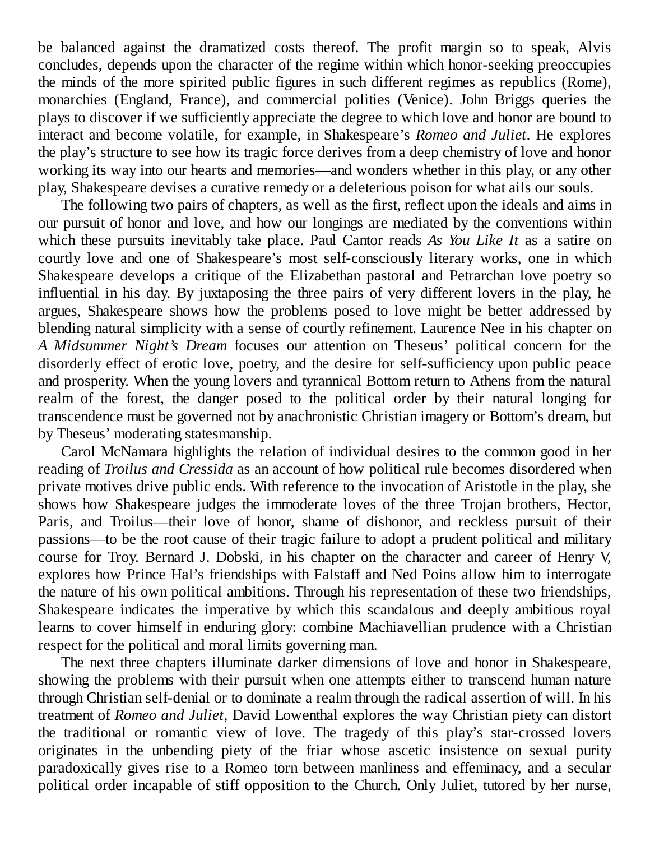be balanced against the dramatized costs thereof. The profit margin so to speak, Alvis concludes, depends upon the character of the regime within which honor-seeking preoccupies the minds of the more spirited public figures in such different regimes as republics (Rome), monarchies (England, France), and commercial polities (Venice). John Briggs queries the plays to discover if we sufficiently appreciate the degree to which love and honor are bound to interact and become volatile, for example, in Shakespeare's *Romeo and Juliet*. He explores the play's structure to see how its tragic force derives from a deep chemistry of love and honor working its way into our hearts and memories—and wonders whether in this play, or any other play, Shakespeare devises a curative remedy or a deleterious poison for what ails our souls.

The following two pairs of chapters, as well as the first, reflect upon the ideals and aims in our pursuit of honor and love, and how our longings are mediated by the conventions within which these pursuits inevitably take place. Paul Cantor reads As You Like It as a satire on courtly love and one of Shakespeare's most self-consciously literary works, one in which Shakespeare develops a critique of the Elizabethan pastoral and Petrarchan love poetry so influential in his day. By juxtaposing the three pairs of very different lovers in the play, he argues, Shakespeare shows how the problems posed to love might be better addressed by blending natural simplicity with a sense of courtly refinement. Laurence Nee in his chapter on A Midsummer Night's Dream focuses our attention on Theseus' political concern for the disorderly effect of erotic love, poetry, and the desire for self-sufficiency upon public peace and prosperity. When the young lovers and tyrannical Bottom return to Athens from the natural realm of the forest, the danger posed to the political order by their natural longing for transcendence must be governed not by anachronistic Christian imagery or Bottom's dream, but by Theseus' moderating statesmanship.

Carol McNamara highlights the relation of individual desires to the common good in her reading of *Troilus and Cressida* as an account of how political rule becomes disordered when private motives drive public ends. With reference to the invocation of Aristotle in the play, she shows how Shakespeare judges the immoderate loves of the three Trojan brothers, Hector, Paris, and Troilus—their love of honor, shame of dishonor, and reckless pursuit of their passions—to be the root cause of their tragic failure to adopt a prudent political and military course for Troy. Bernard J. Dobski, in his chapter on the character and career of Henry V, explores how Prince Hal's friendships with Falstaff and Ned Poins allow him to interrogate the nature of his own political ambitions. Through his representation of these two friendships, Shakespeare indicates the imperative by which this scandalous and deeply ambitious royal learns to cover himself in enduring glory: combine Machiavellian prudence with a Christian respect for the political and moral limits governing man.

The next three chapters illuminate darker dimensions of love and honor in Shakespeare, showing the problems with their pursuit when one attempts either to transcend human nature through Christian self-denial or to dominate a realm through the radical assertion of will. In his treatment of *Romeo and Juliet*, David Lowenthal explores the way Christian piety can distort the traditional or romantic view of love. The tragedy of this play's star-crossed lovers originates in the unbending piety of the friar whose ascetic insistence on sexual purity paradoxically gives rise to a Romeo torn between manliness and effeminacy, and a secular political order incapable of stiff opposition to the Church. Only Juliet, tutored by her nurse,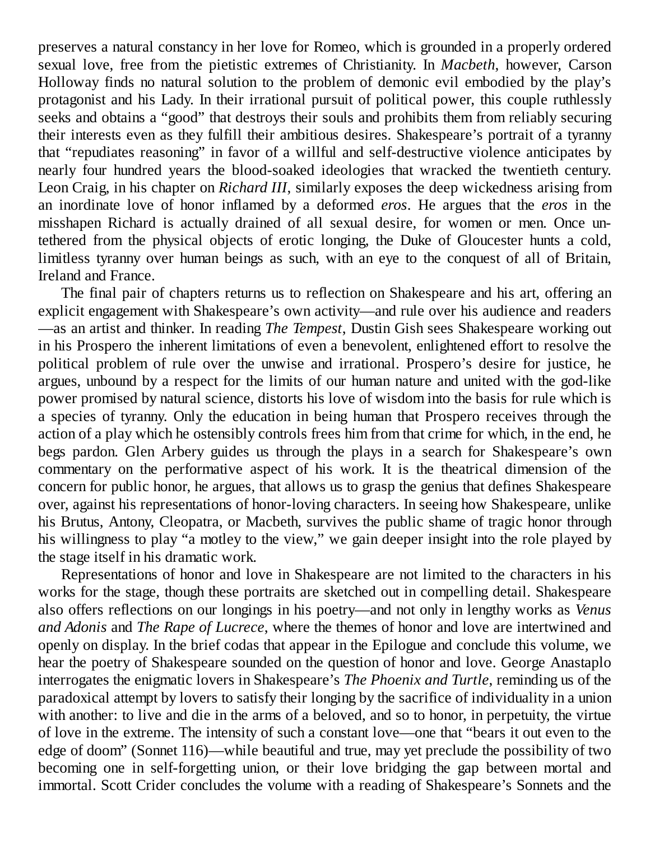preserves a natural constancy in her love for Romeo, which is grounded in a properly ordered sexual love, free from the pietistic extremes of Christianity. In *Macbeth*, however, Carson Holloway finds no natural solution to the problem of demonic evil embodied by the play's protagonist and his Lady. In their irrational pursuit of political power, this couple ruthlessly seeks and obtains a "good" that destroys their souls and prohibits them from reliably securing their interests even as they fulfill their ambitious desires. Shakespeare's portrait of a tyranny that "repudiates reasoning" in favor of a willful and self-destructive violence anticipates by nearly four hundred years the blood-soaked ideologies that wracked the twentieth century. Leon Craig, in his chapter on *Richard III*, similarly exposes the deep wickedness arising from an inordinate love of honor inflamed by a deformed *eros*. He argues that the *eros* in the misshapen Richard is actually drained of all sexual desire, for women or men. Once untethered from the physical objects of erotic longing, the Duke of Gloucester hunts a cold, limitless tyranny over human beings as such, with an eye to the conquest of all of Britain, Ireland and France.

The final pair of chapters returns us to reflection on Shakespeare and his art, offering an explicit engagement with Shakespeare's own activity—and rule over his audience and readers —as an artist and thinker. In reading *The Tempest*, Dustin Gish sees Shakespeare working out in his Prospero the inherent limitations of even a benevolent, enlightened effort to resolve the political problem of rule over the unwise and irrational. Prospero's desire for justice, he argues, unbound by a respect for the limits of our human nature and united with the god-like power promised by natural science, distorts his love of wisdom into the basis for rule which is a species of tyranny. Only the education in being human that Prospero receives through the action of a play which he ostensibly controls frees him from that crime for which, in the end, he begs pardon. Glen Arbery guides us through the plays in a search for Shakespeare's own commentary on the performative aspect of his work. It is the theatrical dimension of the concern for public honor, he argues, that allows us to grasp the genius that defines Shakespeare over, against his representations of honor-loving characters. In seeing how Shakespeare, unlike his Brutus, Antony, Cleopatra, or Macbeth, survives the public shame of tragic honor through his willingness to play "a motley to the view," we gain deeper insight into the role played by the stage itself in his dramatic work.

Representations of honor and love in Shakespeare are not limited to the characters in his works for the stage, though these portraits are sketched out in compelling detail. Shakespeare also offers reflections on our longings in his poetry—and not only in lengthy works as *Venus* and Adonis and *The Rape of Lucrece*, where the themes of honor and love are intertwined and openly on display. In the brief codas that appear in the Epilogue and conclude this volume, we hear the poetry of Shakespeare sounded on the question of honor and love. George Anastaplo interrogates the enigmatic lovers in Shakespeare's *The Phoenix and Turtle*, reminding us of the paradoxical attempt by lovers to satisfy their longing by the sacrifice of individuality in a union with another: to live and die in the arms of a beloved, and so to honor, in perpetuity, the virtue of love in the extreme. The intensity of such a constant love—one that "bears it out even to the edge of doom" (Sonnet 116)—while beautiful and true, may yet preclude the possibility of two becoming one in self-forgetting union, or their love bridging the gap between mortal and immortal. Scott Crider concludes the volume with a reading of Shakespeare's Sonnets and the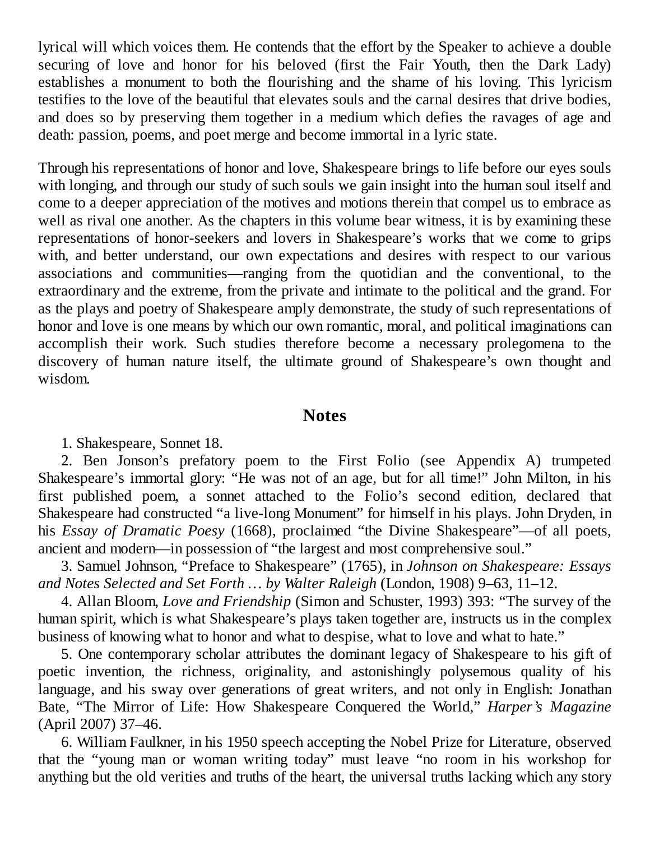lyrical will which voices them. He contends that the effort by the Speaker to achieve a double securing of love and honor for his beloved (first the Fair Youth, then the Dark Lady) establishes a monument to both the flourishing and the shame of his loving. This lyricism testifies to the love of the beautiful that elevates souls and the carnal desires that drive bodies, and does so by preserving them together in a medium which defies the ravages of age and death: passion, poems, and poet merge and become immortal in a lyric state.

Through his representations of honor and love, Shakespeare brings to life before our eyes souls with longing, and through our study of such souls we gain insight into the human soul itself and come to a deeper appreciation of the motives and motions therein that compel us to embrace as well as rival one another. As the chapters in this volume bear witness, it is by examining these representations of honor-seekers and lovers in Shakespeare's works that we come to grips with, and better understand, our own expectations and desires with respect to our various associations and communities—ranging from the quotidian and the conventional, to the extraordinary and the extreme, from the private and intimate to the political and the grand. For as the plays and poetry of Shakespeare amply demonstrate, the study of such representations of honor and love is one means by which our own romantic, moral, and political imaginations can accomplish their work. Such studies therefore become a necessary prolegomena to the discovery of human nature itself, the ultimate ground of Shakespeare's own thought and wisdom.

### **Notes**

1. Shakespeare, Sonnet 18.

<span id="page-10-1"></span><span id="page-10-0"></span>2. Ben Jonson's prefatory poem to the First Folio (see Appendix A) trumpeted Shakespeare's immortal glory: "He was not of an age, but for all time!" John Milton, in his first published poem, a sonnet attached to the Folio's second edition, declared that Shakespeare had constructed "a live-long Monument" for himself in his plays. John Dryden, in his *Essay of Dramatic Poesy* (1668), proclaimed "the Divine Shakespeare"—of all poets, ancient and modern—in possession of "the largest and most comprehensive soul."

<span id="page-10-2"></span>3. Samuel Johnson, "Preface to Shakespeare" (1765), in *Johnson on Shakespeare: Essays and Notes Selected and Set Forth* ... by Walter Raleigh (London, 1908) 9–63, 11–12.

<span id="page-10-3"></span>4. Allan Bloom, *Love and Friendship* (Simon and Schuster, 1993) 393: "The survey of the human spirit, which is what Shakespeare's plays taken together are, instructs us in the complex business of knowing what to honor and what to despise, what to love and what to hate."

<span id="page-10-4"></span>5. One contemporary scholar attributes the dominant legacy of Shakespeare to his gift of poetic invention, the richness, originality, and astonishingly polysemous quality of his language, and his sway over generations of great writers, and not only in English: Jonathan Bate, "The Mirror of Life: How Shakespeare Conquered the World," *Harper's Magazine* (April 2007) 37–46.

<span id="page-10-5"></span>6. William Faulkner, in his 1950 speech accepting the Nobel Prize for Literature, observed that the "young man or woman writing today" must leave "no room in his workshop for anything but the old verities and truths of the heart, the universal truths lacking which any story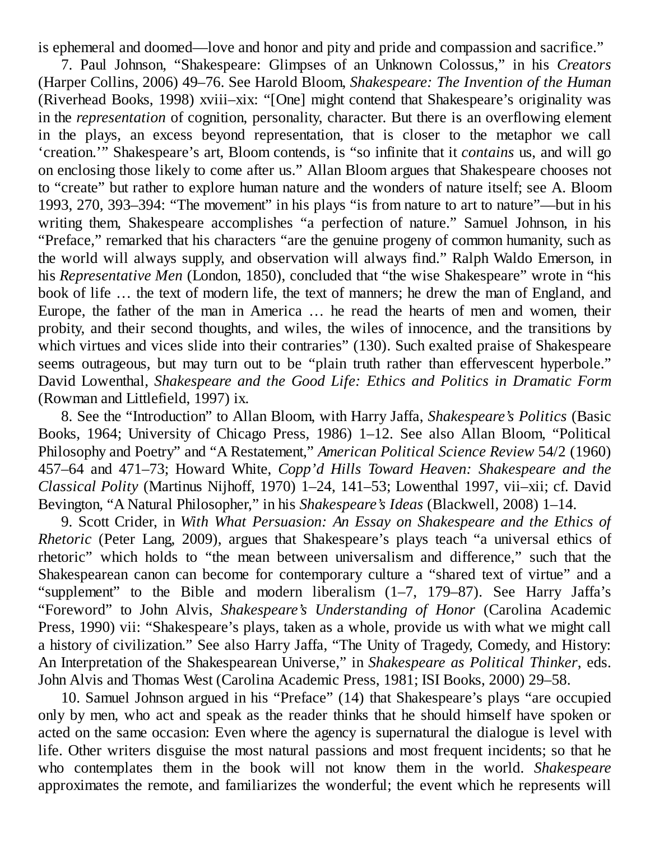is ephemeral and doomed—love and honor and pity and pride and compassion and sacrifice."

<span id="page-11-0"></span>7. Paul Johnson, "Shakespeare: Glimpses of an Unknown Colossus," in his *Creators* (Harper Collins, 2006) 49–76. See Harold Bloom, *Shakespeare: The Invention of the Human* (Riverhead Books, 1998) xviii–xix: "[One] might contend that Shakespeare's originality was in the *representation* of cognition, personality, character. But there is an overflowing element in the plays, an excess beyond representation, that is closer to the metaphor we call 'creation.'" Shakespeare's art, Bloom contends, is "so infinite that it *contains* us, and will go on enclosing those likely to come after us." Allan Bloom argues that Shakespeare chooses not to "create" but rather to explore human nature and the wonders of nature itself; see A. Bloom 1993, 270, 393–394: "The movement" in his plays "is from nature to art to nature"—but in his writing them, Shakespeare accomplishes "a perfection of nature." Samuel Johnson, in his "Preface," remarked that his characters "are the genuine progeny of common humanity, such as the world will always supply, and observation will always find." Ralph Waldo Emerson, in his *Representative Men* (London, 1850), concluded that "the wise Shakespeare" wrote in "his book of life ... the text of modern life, the text of manners; he drew the man of England, and Europe, the father of the man in America  $\dots$  he read the hearts of men and women, their probity, and their second thoughts, and wiles, the wiles of innocence, and the transitions by which virtues and vices slide into their contraries" (130). Such exalted praise of Shakespeare seems outrageous, but may turn out to be "plain truth rather than effervescent hyperbole." David Lowenthal, *Shakespeare and the Good Life: Ethics and Politics in Dramatic Form* (Rowman and Littlefield, 1997) ix.

<span id="page-11-1"></span>8. See the "Introduction" to Allan Bloom, with Harry Jaffa, *Shakespeare's Politics* (Basic Books, 1964; University of Chicago Press, 1986) 1–12. See also Allan Bloom, "Political Philosophy and Poetry" and "A Restatement," *American Political Science Review* 54/2 (1960) 457–64 and 471–73; Howard White, *Copp'd Hills Toward Heaven: Shakespeare and the Classical Polity* (Martinus Nijhoff, 1970) 1–24, 141–53; Lowenthal 1997, vii–xii; cf. David Bevington, "A Natural Philosopher," in his *Shakespeare's Ideas* (Blackwell, 2008) 1–14.

<span id="page-11-2"></span>9. Scott Crider, in With What Persuasion: An Essay on Shakespeare and the Ethics of *Rhetoric* (Peter Lang, 2009), argues that Shakespeare's plays teach "a universal ethics of rhetoric" which holds to "the mean between universalism and difference," such that the Shakespearean canon can become for contemporary culture a "shared text of virtue" and a "supplement" to the Bible and modern liberalism  $(1-7, 179-87)$ . See Harry Jaffa's "Foreword" to John Alvis, *Shakespeare's Understanding of Honor* (Carolina Academic Press, 1990) vii: "Shakespeare's plays, taken as a whole, provide us with what we might call a history of civilization." See also Harry Jaffa, "The Unity of Tragedy, Comedy, and History: An Interpretation of the Shakespearean Universe," in *Shakespeare as Political Thinker*, eds. John Alvis and Thomas West (Carolina Academic Press, 1981; ISI Books, 2000) 29–58.

10. Samuel Johnson argued in his "Preface" (14) that Shakespeare's plays "are occupied only by men, who act and speak as the reader thinks that he should himself have spoken or acted on the same occasion: Even where the agency is supernatural the dialogue is level with life. Other writers disguise the most natural passions and most frequent incidents; so that he who contemplates them in the book will not know them in the world. *Shakespeare* approximates the remote, and familiarizes the wonderful; the event which he represents will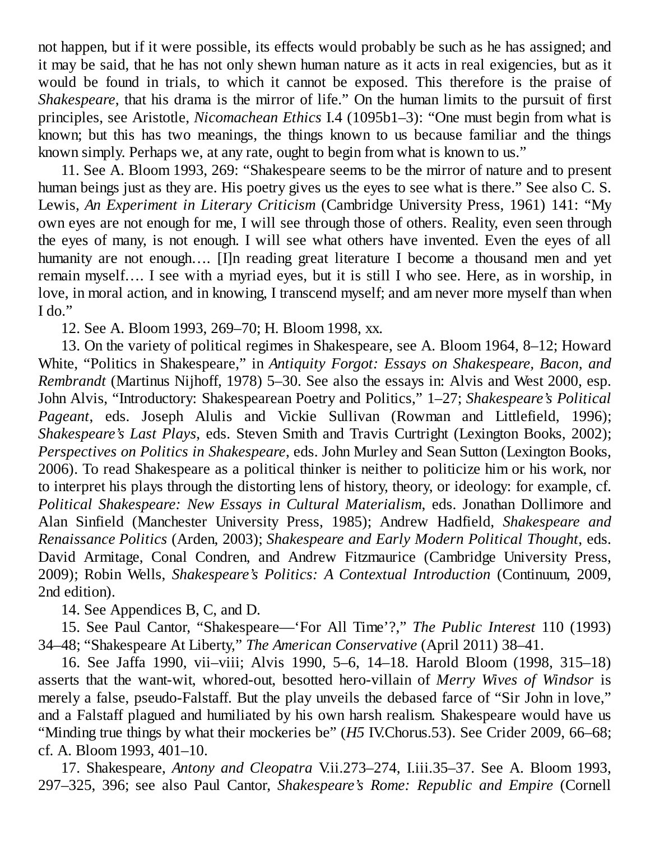<span id="page-12-0"></span>not happen, but if it were possible, its effects would probably be such as he has assigned; and it may be said, that he has not only shewn human nature as it acts in real exigencies, but as it would be found in trials, to which it cannot be exposed. This therefore is the praise of *Shakespeare*, that his drama is the mirror of life." On the human limits to the pursuit of first principles, see Aristotle, *Nicomachean Ethics* I.4 (1095b1–3): "One must begin from what is known; but this has two meanings, the things known to us because familiar and the things known simply. Perhaps we, at any rate, ought to begin from what is known to us."

<span id="page-12-1"></span>11. See A. Bloom 1993, 269: "Shakespeare seems to be the mirror of nature and to present human beings just as they are. His poetry gives us the eyes to see what is there." See also C. S. Lewis, *An Experiment in Literary Criticism* (Cambridge University Press, 1961) 141: "My own eyes are not enough for me, I will see through those of others. Reality, even seen through the eyes of many, is not enough. I will see what others have invented. Even the eyes of all humanity are not enough.... [I]n reading great literature I become a thousand men and yet remain myself.... I see with a myriad eyes, but it is still I who see. Here, as in worship, in love, in moral action, and in knowing, I transcend myself; and am never more myself than when  $Ido."$ 

12. See A. Bloom 1993, 269–70; H. Bloom 1998, xx.

<span id="page-12-3"></span><span id="page-12-2"></span>13. On the variety of political regimes in Shakespeare, see A. Bloom 1964, 8–12; Howard White, "Politics in Shakespeare," in *Antiquity Forgot: Essays on Shakespeare, Bacon, and Rembrandt* (Martinus Nijhoff, 1978) 5–30. See also the essays in: Alvis and West 2000, esp. John Alvis, "Introductory: Shakespearean Poetry and Politics," 1–27; *Shakespeare's Political* Pageant, eds. Joseph Alulis and Vickie Sullivan (Rowman and Littlefield, 1996); *Shakespeare's Last Plays, eds. Steven Smith and Travis Curtright (Lexington Books, 2002); Perspectives* on *Politics in Shakespeare*, eds. John Murley and Sean Sutton (Lexington Books, 2006). To read Shakespeare as a political thinker is neither to politicize him or his work, nor to interpret his plays through the distorting lens of history, theory, or ideology: for example, cf. Political Shakespeare: New Essays in Cultural Materialism, eds. Jonathan Dollimore and Alan Sinfield (Manchester University Press, 1985); Andrew Hadfield, *Shakespeare and Renaissance Politics* (Arden, 2003); *Shakespeare and Early Modern Political Thought*, eds. David Armitage, Conal Condren, and Andrew Fitzmaurice (Cambridge University Press, 2009); Robin Wells, *Shakespeare's Politics: A Contextual Introduction* (Continuum, 2009, 2nd edition).

14. See Appendices B, C, and D.

<span id="page-12-5"></span><span id="page-12-4"></span>15. See Paul Cantor, "Shakespeare—'For All Time'?," The Public Interest 110 (1993) 34–48; "Shakespeare At Liberty," The American Conservative (April 2011) 38–41.

<span id="page-12-6"></span>16. See Jaffa 1990, vii–viii; Alvis 1990, 5–6, 14–18. Harold Bloom (1998, 315–18) asserts that the want-wit, whored-out, besotted hero-villain of *Merry Wives of Windsor* is merely a false, pseudo-Falstaff. But the play unveils the debased farce of "Sir John in love," and a Falstaff plagued and humiliated by his own harsh realism. Shakespeare would have us "Minding true things by what their mockeries be" (*H5* IV.Chorus.53). See Crider 2009, 66–68; cf. A. Bloom 1993, 401-10.

<span id="page-12-7"></span>17. Shakespeare, *Antony and Cleopatra V.ii.273-274*, I.iii.35-37. See A. Bloom 1993, 297–325, 396; see also Paul Cantor, *Shakespeare's Rome: Republic and Empire* (Cornell